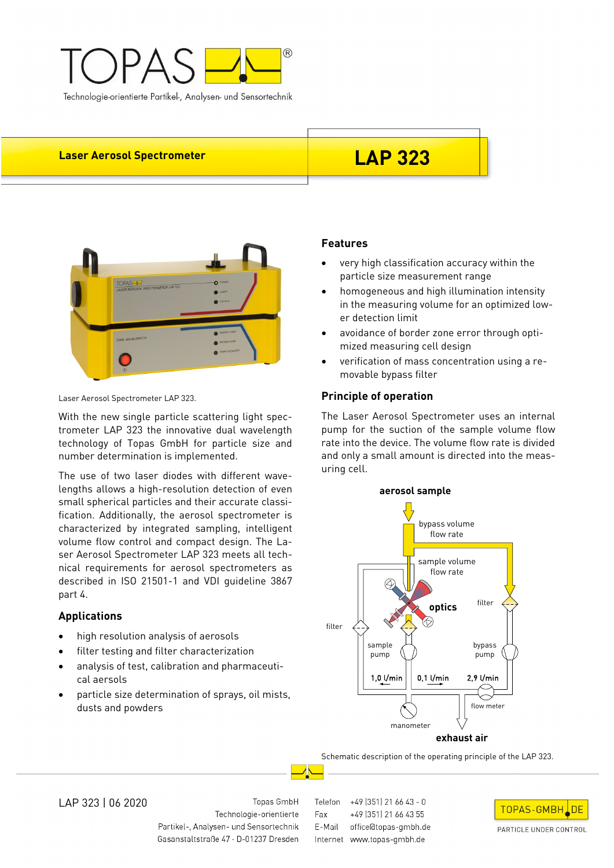

# Laser Aerosol Spectrometer **LAP 323**



Laser Aerosol Spectrometer LAP 323.

With the new single particle scattering light spectrometer LAP 323 the innovative dual wavelength technology of Topas GmbH for particle size and number determination is implemented.

The use of two laser diodes with different wavelengths allows a high-resolution detection of even small spherical particles and their accurate classification. Additionally, the aerosol spectrometer is characterized by integrated sampling, intelligent volume flow control and compact design. The Laser Aerosol Spectrometer LAP 323 meets all technical requirements for aerosol spectrometers as described in ISO 21501-1 and VDI guideline 3867 part 4.

# **Applications**

- high resolution analysis of aerosols
- filter testing and filter characterization
- analysis of test, calibration and pharmaceutical aersols
- particle size determination of sprays, oil mists, dusts and powders

# **Features**

- very high classification accuracy within the particle size measurement range
- homogeneous and high illumination intensity in the measuring volume for an optimized lower detection limit
- avoidance of border zone error through optimized measuring cell design
- verification of mass concentration using a removable bypass filter

## **Principle of operation**

The Laser Aerosol Spectrometer uses an internal pump for the suction of the sample volume flow rate into the device. The volume flow rate is divided and only a small amount is directed into the measuring cell.



Schematic description of the operating principle of the LAP 323.

LAP 323 | 06 2020

Topas GmbH Technologie-orientierte Partikel-, Analysen- und Sensortechnik Gasanstaltstraße 47 · D-01237 Dresden Telefon +49 (351) 21 66 43 - 0 +49 (351) 21 66 43 55 Fax E-Mail office@topas-gmbh.de Internet www.topas-gmbh.de



PARTICLE UNDER CONTROL